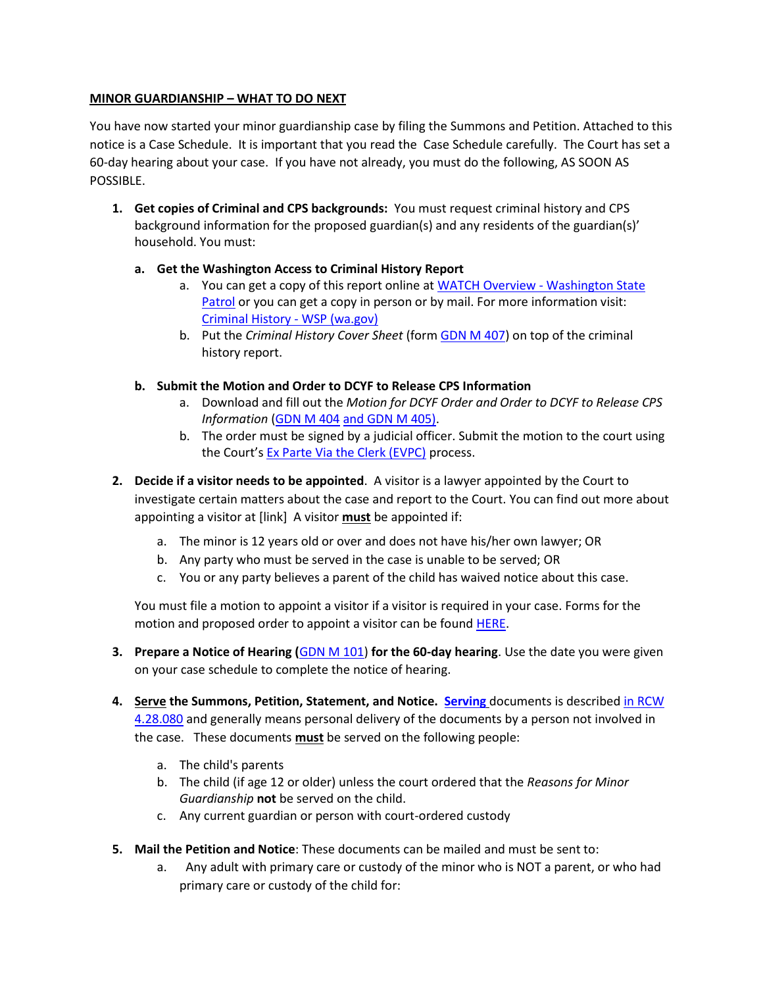## **MINOR GUARDIANSHIP – WHAT TO DO NEXT**

You have now started your minor guardianship case by filing the Summons and Petition. Attached to this notice is a Case Schedule. It is important that you read the Case Schedule carefully. The Court has set a 60-day hearing about your case. If you have not already, you must do the following, AS SOON AS POSSIBLE.

- **1. Get copies of Criminal and CPS backgrounds:** You must request criminal history and CPS background information for the proposed guardian(s) and any residents of the guardian(s)' household. You must:
	- **a. Get the Washington Access to Criminal History Report**
		- a. You can get a copy of this report online at [WATCH Overview -](https://watch.wsp.wa.gov/) Washington State [Patrol](https://watch.wsp.wa.gov/) or you can get a copy in person or by mail. For more information visit: [Criminal History -](https://www.wsp.wa.gov/crime/criminal-history/) WSP (wa.gov)
		- b. Put the *Criminal History Cover Sheet* (for[m GDN M 407\)](http://www.courts.wa.gov/forms/documents/GDN%20M%20407%20Criminal%20History%20Record%20Cover%20Sheet.pdf) on top of the criminal history report.
	- **b. Submit the Motion and Order to DCYF to Release CPS Information**
		- a. Download and fill out the *Motion for DCYF Order and Order to DCYF to Release CPS Information* [\(GDN M 404](http://www.courts.wa.gov/forms/documents/GDN%20M%20404%20and%20GDN%20M%20405%20%20Motion%20for%20DCYF%20Order%20and%20Order%20to%20DCYF%20to%20Release%20CPS%20Info.pdf) [and GDN M 405\)](http://www.courts.wa.gov/forms/documents/GDN%20M%20404%20and%20GDN%20M%20405%20%20Motion%20for%20DCYF%20Order%20and%20Order%20to%20DCYF%20to%20Release%20CPS%20Info.pdf).
		- b. The order must be signed by a judicial officer. Submit the motion to the court using the Court's [Ex Parte Via the Clerk \(EVPC\)](https://kingcounty.gov/courts/clerk/documents/ExParte.aspx) process.
- **2. Decide if a visitor needs to be appointed**. A visitor is a lawyer appointed by the Court to investigate certain matters about the case and report to the Court. You can find out more about appointing a visitor at [link] A visitor **must** be appointed if:
	- a. The minor is 12 years old or over and does not have his/her own lawyer; OR
	- b. Any party who must be served in the case is unable to be served; OR
	- c. You or any party believes a parent of the child has waived notice about this case.

You must file a motion to appoint a visitor if a visitor is required in your case. Forms for the motion and proposed order to appoint a visitor can be found [HERE.](https://www.courts.wa.gov/forms/?fa=forms.contribute&formID=125)

- **3. Prepare a Notice of Hearing (**[GDN M 101\)](https://www.courts.wa.gov/forms/documents/GDN%20M%20101%20Notice%20of%20Hearing_Minor%20Guardianship%20Petition_2021%2003.pdf) **for the 60-day hearing**. Use the date you were given on your case schedule to complete the notice of hearing.
- **4. Serve the Summons, Petition, Statement, and Notice. [Serving](https://kingcounty.gov/~/media/courts/superior-court/docs/family/family-law-instructions/06-01-how-to-serve-your-initial-court-documents-pdf.ashx?la=en)** documents is describe[d in RCW](https://apps.leg.wa.gov/RCW/default.aspx?cite=4.28.080)  [4.28.080](https://apps.leg.wa.gov/RCW/default.aspx?cite=4.28.080) and generally means personal delivery of the documents by a person not involved in the case. These documents **must** be served on the following people:
	- a. The child's parents
	- b. The child (if age 12 or older) unless the court ordered that the *Reasons for Minor Guardianship* **not** be served on the child.
	- c. Any current guardian or person with court-ordered custody
- **5. Mail the Petition and Notice**: These documents can be mailed and must be sent to:
	- a. Any adult with primary care or custody of the minor who is NOT a parent, or who had primary care or custody of the child for: